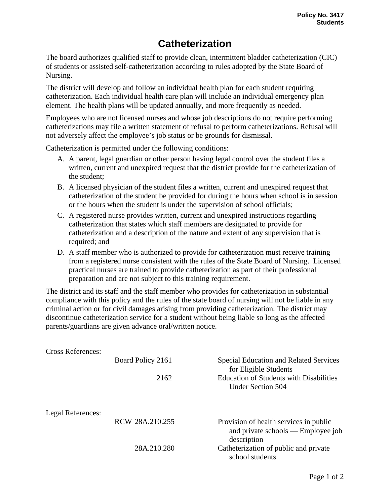## **Catheterization**

The board authorizes qualified staff to provide clean, intermittent bladder catheterization (CIC) of students or assisted self-catheterization according to rules adopted by the State Board of Nursing.

The district will develop and follow an individual health plan for each student requiring catheterization. Each individual health care plan will include an individual emergency plan element. The health plans will be updated annually, and more frequently as needed.

Employees who are not licensed nurses and whose job descriptions do not require performing catheterizations may file a written statement of refusal to perform catheterizations. Refusal will not adversely affect the employee's job status or be grounds for dismissal.

Catheterization is permitted under the following conditions:

- A. A parent, legal guardian or other person having legal control over the student files a written, current and unexpired request that the district provide for the catheterization of the student;
- B. A licensed physician of the student files a written, current and unexpired request that catheterization of the student be provided for during the hours when school is in session or the hours when the student is under the supervision of school officials;
- C. A registered nurse provides written, current and unexpired instructions regarding catheterization that states which staff members are designated to provide for catheterization and a description of the nature and extent of any supervision that is required; and
- D. A staff member who is authorized to provide for catheterization must receive training from a registered nurse consistent with the rules of the State Board of Nursing. Licensed practical nurses are trained to provide catheterization as part of their professional preparation and are not subject to this training requirement.

The district and its staff and the staff member who provides for catheterization in substantial compliance with this policy and the rules of the state board of nursing will not be liable in any criminal action or for civil damages arising from providing catheterization. The district may discontinue catheterization service for a student without being liable so long as the affected parents/guardians are given advance oral/written notice.

| <b>Cross References:</b> |                   |                                                                                             |
|--------------------------|-------------------|---------------------------------------------------------------------------------------------|
|                          | Board Policy 2161 | <b>Special Education and Related Services</b><br>for Eligible Students                      |
|                          | 2162              | <b>Education of Students with Disabilities</b><br><b>Under Section 504</b>                  |
| Legal References:        |                   |                                                                                             |
|                          | RCW 28A.210.255   | Provision of health services in public<br>and private schools — Employee job<br>description |
|                          | 28A.210.280       | Catheterization of public and private<br>school students                                    |